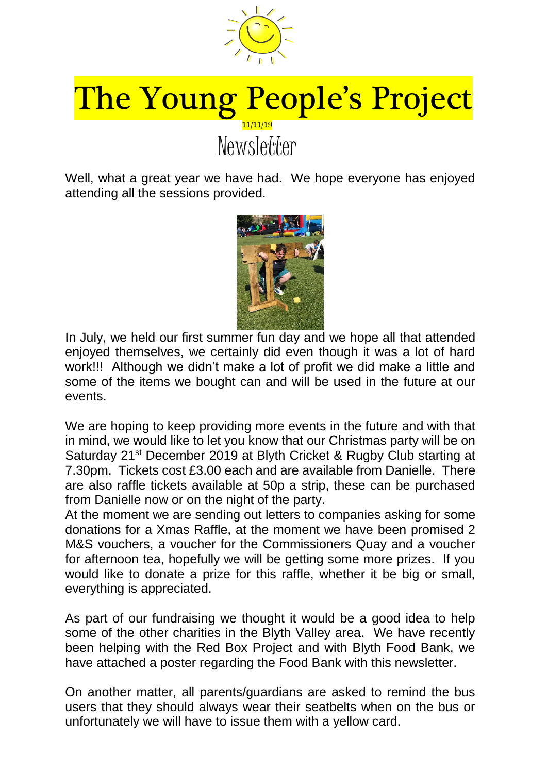

## The Young People's Project 11/11/19 **Newsletter**

Well, what a great year we have had. We hope everyone has enjoyed attending all the sessions provided.



In July, we held our first summer fun day and we hope all that attended enjoyed themselves, we certainly did even though it was a lot of hard work!!! Although we didn't make a lot of profit we did make a little and some of the items we bought can and will be used in the future at our events.

We are hoping to keep providing more events in the future and with that in mind, we would like to let you know that our Christmas party will be on Saturday 21<sup>st</sup> December 2019 at Blyth Cricket & Rugby Club starting at 7.30pm. Tickets cost £3.00 each and are available from Danielle. There are also raffle tickets available at 50p a strip, these can be purchased from Danielle now or on the night of the party.

At the moment we are sending out letters to companies asking for some donations for a Xmas Raffle, at the moment we have been promised 2 M&S vouchers, a voucher for the Commissioners Quay and a voucher for afternoon tea, hopefully we will be getting some more prizes. If you would like to donate a prize for this raffle, whether it be big or small, everything is appreciated.

As part of our fundraising we thought it would be a good idea to help some of the other charities in the Blyth Valley area. We have recently been helping with the Red Box Project and with Blyth Food Bank, we have attached a poster regarding the Food Bank with this newsletter.

On another matter, all parents/guardians are asked to remind the bus users that they should always wear their seatbelts when on the bus or unfortunately we will have to issue them with a yellow card.